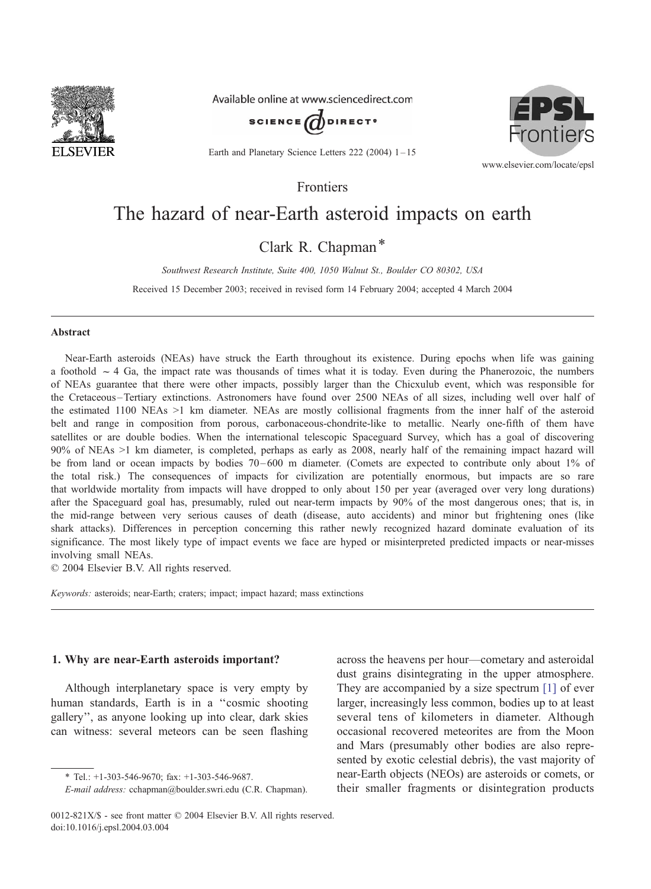

Available online at www.sciencedirect.com



Earth and Planetary Science Letters 222 (2004) 1-15



www.elsevier.com/locate/epsl

Frontiers

# The hazard of near-Earth asteroid impacts on earth

Clark R. Chapman\*

Southwest Research Institute, Suite 400, 1050 Walnut St., Boulder CO 80302, USA

Received 15 December 2003; received in revised form 14 February 2004; accepted 4 March 2004

#### Abstract

Near-Earth asteroids (NEAs) have struck the Earth throughout its existence. During epochs when life was gaining a foothold  $\sim$  4 Ga, the impact rate was thousands of times what it is today. Even during the Phanerozoic, the numbers of NEAs guarantee that there were other impacts, possibly larger than the Chicxulub event, which was responsible for the Cretaceous –Tertiary extinctions. Astronomers have found over 2500 NEAs of all sizes, including well over half of the estimated 1100 NEAs >1 km diameter. NEAs are mostly collisional fragments from the inner half of the asteroid belt and range in composition from porous, carbonaceous-chondrite-like to metallic. Nearly one-fifth of them have satellites or are double bodies. When the international telescopic Spaceguard Survey, which has a goal of discovering 90% of NEAs >1 km diameter, is completed, perhaps as early as 2008, nearly half of the remaining impact hazard will be from land or ocean impacts by bodies 70-600 m diameter. (Comets are expected to contribute only about 1% of the total risk.) The consequences of impacts for civilization are potentially enormous, but impacts are so rare that worldwide mortality from impacts will have dropped to only about 150 per year (averaged over very long durations) after the Spaceguard goal has, presumably, ruled out near-term impacts by 90% of the most dangerous ones; that is, in the mid-range between very serious causes of death (disease, auto accidents) and minor but frightening ones (like shark attacks). Differences in perception concerning this rather newly recognized hazard dominate evaluation of its significance. The most likely type of impact events we face are hyped or misinterpreted predicted impacts or near-misses involving small NEAs.

 $© 2004 Elsevier B.V. All rights reserved.$ 

Keywords: asteroids; near-Earth; craters; impact; impact hazard; mass extinctions

### 1. Why are near-Earth asteroids important?

Although interplanetary space is very empty by human standards, Earth is in a ''cosmic shooting gallery'', as anyone looking up into clear, dark skies can witness: several meteors can be seen flashing across the heavens per hour—cometary and asteroidal dust grains disintegrating in the upper atmosphere. They are accompanied by a size spectrum [\[1\]](#page-12-0) of ever larger, increasingly less common, bodies up to at least several tens of kilometers in diameter. Although occasional recovered meteorites are from the Moon and Mars (presumably other bodies are also represented by exotic celestial debris), the vast majority of near-Earth objects (NEOs) are asteroids or comets, or their smaller fragments or disintegration products

<sup>\*</sup> Tel.:  $+1-303-546-9670$ : fax:  $+1-303-546-9687$ .

E-mail address: cchapman@boulder.swri.edu (C.R. Chapman).

<sup>0012-821</sup>X/\$ - see front matter © 2004 Elsevier B.V. All rights reserved. doi:10.1016/j.epsl.2004.03.004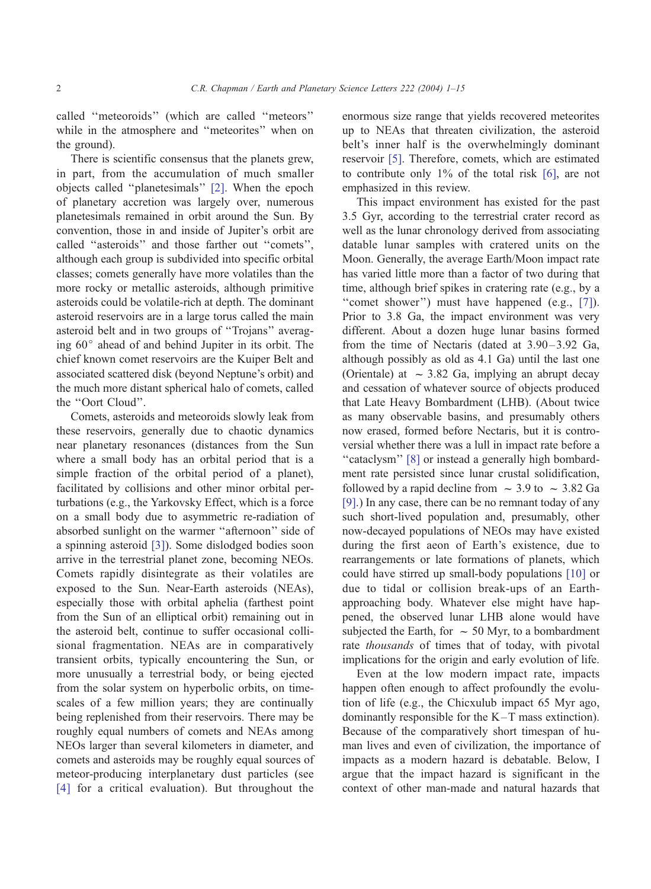called ''meteoroids'' (which are called ''meteors'' while in the atmosphere and ''meteorites'' when on the ground).

There is scientific consensus that the planets grew, in part, from the accumulation of much smaller objects called ''planetesimals'' [\[2\].](#page-12-0) When the epoch of planetary accretion was largely over, numerous planetesimals remained in orbit around the Sun. By convention, those in and inside of Jupiter's orbit are called ''asteroids'' and those farther out ''comets'', although each group is subdivided into specific orbital classes; comets generally have more volatiles than the more rocky or metallic asteroids, although primitive asteroids could be volatile-rich at depth. The dominant asteroid reservoirs are in a large torus called the main asteroid belt and in two groups of ''Trojans'' averaging  $60^\circ$  ahead of and behind Jupiter in its orbit. The chief known comet reservoirs are the Kuiper Belt and associated scattered disk (beyond Neptune's orbit) and the much more distant spherical halo of comets, called the ''Oort Cloud''.

Comets, asteroids and meteoroids slowly leak from these reservoirs, generally due to chaotic dynamics near planetary resonances (distances from the Sun where a small body has an orbital period that is a simple fraction of the orbital period of a planet), facilitated by collisions and other minor orbital perturbations (e.g., the Yarkovsky Effect, which is a force on a small body due to asymmetric re-radiation of absorbed sunlight on the warmer ''afternoon'' side of a spinning asteroid [\[3\]\)](#page-12-0). Some dislodged bodies soon arrive in the terrestrial planet zone, becoming NEOs. Comets rapidly disintegrate as their volatiles are exposed to the Sun. Near-Earth asteroids (NEAs), especially those with orbital aphelia (farthest point from the Sun of an elliptical orbit) remaining out in the asteroid belt, continue to suffer occasional collisional fragmentation. NEAs are in comparatively transient orbits, typically encountering the Sun, or more unusually a terrestrial body, or being ejected from the solar system on hyperbolic orbits, on timescales of a few million years; they are continually being replenished from their reservoirs. There may be roughly equal numbers of comets and NEAs among NEOs larger than several kilometers in diameter, and comets and asteroids may be roughly equal sources of [meteor-producing interplanetary dust particles \(see](#page-12-0) [4] for a critical evaluation). But throughout the

enormous size range that yields recovered meteorites up to NEAs that threaten civilization, the asteroid belt's inner half is the overwhelmingly dominant reservoir [\[5\].](#page-12-0) Therefore, comets, which are estimated to contribute only 1% of the total risk [\[6\],](#page-12-0) are not emphasized in this review.

This impact environment has existed for the past 3.5 Gyr, according to the terrestrial crater record as well as the lunar chronology derived from associating datable lunar samples with cratered units on the Moon. Generally, the average Earth/Moon impact rate has varied little more than a factor of two during that time, although brief spikes in cratering rate (e.g., by a "comet shower") must have happened (e.g., [\[7\]\)](#page-12-0). Prior to 3.8 Ga, the impact environment was very different. About a dozen huge lunar basins formed from the time of Nectaris (dated at  $3.90 - 3.92$  Ga, although possibly as old as 4.1 Ga) until the last one (Orientale) at  $\sim$  3.82 Ga, implying an abrupt decay and cessation of whatever source of objects produced that Late Heavy Bombardment (LHB). (About twice as many observable basins, and presumably others now erased, formed before Nectaris, but it is controversial whether there was a lull in impact rate before a "cataclysm" [\[8\]](#page-13-0) or instead a generally high bombardment rate persisted since lunar crustal solidification, followed by a rapid decline from  $\sim$  3.9 to  $\sim$  3.82 Ga [\[9\].](#page-13-0)) In any case, there can be no remnant today of any such short-lived population and, presumably, other now-decayed populations of NEOs may have existed during the first aeon of Earth's existence, due to rearrangements or late formations of planets, which could have stirred up small-body populations [\[10\]](#page-13-0) or due to tidal or collision break-ups of an Earthapproaching body. Whatever else might have happened, the observed lunar LHB alone would have subjected the Earth, for  $\sim$  50 Myr, to a bombardment rate *thousands* of times that of today, with pivotal implications for the origin and early evolution of life.

Even at the low modern impact rate, impacts happen often enough to affect profoundly the evolution of life (e.g., the Chicxulub impact 65 Myr ago, dominantly responsible for the  $K-T$  mass extinction). Because of the comparatively short timespan of human lives and even of civilization, the importance of impacts as a modern hazard is debatable. Below, I argue that the impact hazard is significant in the context of other man-made and natural hazards that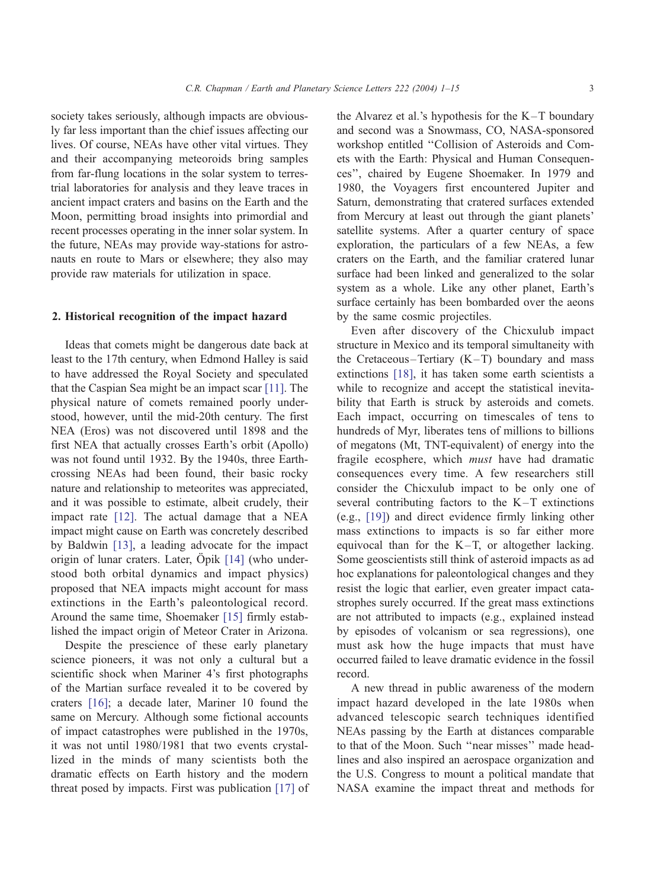society takes seriously, although impacts are obviously far less important than the chief issues affecting our lives. Of course, NEAs have other vital virtues. They and their accompanying meteoroids bring samples from far-flung locations in the solar system to terrestrial laboratories for analysis and they leave traces in ancient impact craters and basins on the Earth and the Moon, permitting broad insights into primordial and recent processes operating in the inner solar system. In the future, NEAs may provide way-stations for astronauts en route to Mars or elsewhere; they also may provide raw materials for utilization in space.

## 2. Historical recognition of the impact hazard

Ideas that comets might be dangerous date back at least to the 17th century, when Edmond Halley is said to have addressed the Royal Society and speculated that the Caspian Sea might be an impact scar [\[11\].](#page-13-0) The physical nature of comets remained poorly understood, however, until the mid-20th century. The first NEA (Eros) was not discovered until 1898 and the first NEA that actually crosses Earth's orbit (Apollo) was not found until 1932. By the 1940s, three Earthcrossing NEAs had been found, their basic rocky nature and relationship to meteorites was appreciated, and it was possible to estimate, albeit crudely, their impact rate [\[12\].](#page-13-0) The actual damage that a NEA impact might cause on Earth was concretely described by Baldwin [\[13\],](#page-13-0) a leading advocate for the impact origin of lunar craters. Later, Öpik [\[14\]](#page-13-0) (who understood both orbital dynamics and impact physics) proposed that NEA impacts might account for mass extinctions in the Earth's paleontological record. Around the same time, Shoemaker [\[15\]](#page-13-0) firmly established the impact origin of Meteor Crater in Arizona.

Despite the prescience of these early planetary science pioneers, it was not only a cultural but a scientific shock when Mariner 4's first photographs of the Martian surface revealed it to be covered by craters [\[16\];](#page-13-0) a decade later, Mariner 10 found the same on Mercury. Although some fictional accounts of impact catastrophes were published in the 1970s, it was not until 1980/1981 that two events crystallized in the minds of many scientists both the dramatic effects on Earth history and the modern threat posed by impacts. First was publication [\[17\]](#page-13-0) of the Alvarez et al.'s hypothesis for the  $K-T$  boundary and second was a Snowmass, CO, NASA-sponsored workshop entitled ''Collision of Asteroids and Comets with the Earth: Physical and Human Consequences'', chaired by Eugene Shoemaker. In 1979 and 1980, the Voyagers first encountered Jupiter and Saturn, demonstrating that cratered surfaces extended from Mercury at least out through the giant planets' satellite systems. After a quarter century of space exploration, the particulars of a few NEAs, a few craters on the Earth, and the familiar cratered lunar surface had been linked and generalized to the solar system as a whole. Like any other planet, Earth's surface certainly has been bombarded over the aeons by the same cosmic projectiles.

Even after discovery of the Chicxulub impact structure in Mexico and its temporal simultaneity with the Cretaceous–Tertiary  $(K-T)$  boundary and mass extinctions [\[18\],](#page-13-0) it has taken some earth scientists a while to recognize and accept the statistical inevitability that Earth is struck by asteroids and comets. Each impact, occurring on timescales of tens to hundreds of Myr, liberates tens of millions to billions of megatons (Mt, TNT-equivalent) of energy into the fragile ecosphere, which must have had dramatic consequences every time. A few researchers still consider the Chicxulub impact to be only one of several contributing factors to the  $K-T$  extinctions (e.g., [\[19\]\)](#page-13-0) and direct evidence firmly linking other mass extinctions to impacts is so far either more equivocal than for the  $K-T$ , or altogether lacking. Some geoscientists still think of asteroid impacts as ad hoc explanations for paleontological changes and they resist the logic that earlier, even greater impact catastrophes surely occurred. If the great mass extinctions are not attributed to impacts (e.g., explained instead by episodes of volcanism or sea regressions), one must ask how the huge impacts that must have occurred failed to leave dramatic evidence in the fossil record.

A new thread in public awareness of the modern impact hazard developed in the late 1980s when advanced telescopic search techniques identified NEAs passing by the Earth at distances comparable to that of the Moon. Such ''near misses'' made headlines and also inspired an aerospace organization and the U.S. Congress to mount a political mandate that NASA examine the impact threat and methods for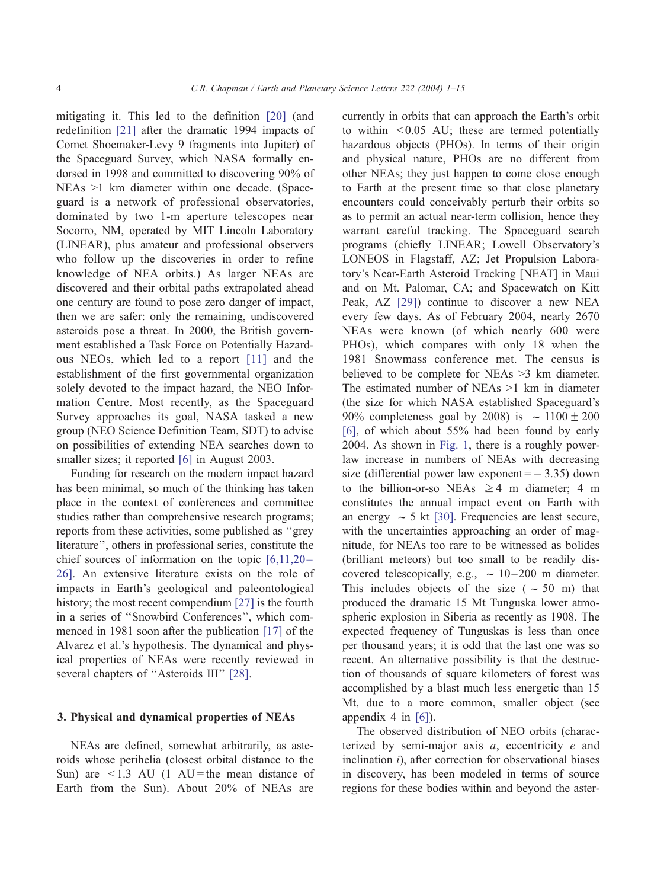mitigating it. This led to the definition [\[20\]](#page-13-0) (and redefinition [\[21\]](#page-13-0) after the dramatic 1994 impacts of Comet Shoemaker-Levy 9 fragments into Jupiter) of the Spaceguard Survey, which NASA formally endorsed in 1998 and committed to discovering 90% of NEAs >1 km diameter within one decade. (Spaceguard is a network of professional observatories, dominated by two 1-m aperture telescopes near Socorro, NM, operated by MIT Lincoln Laboratory (LINEAR), plus amateur and professional observers who follow up the discoveries in order to refine knowledge of NEA orbits.) As larger NEAs are discovered and their orbital paths extrapolated ahead one century are found to pose zero danger of impact, then we are safer: only the remaining, undiscovered asteroids pose a threat. In 2000, the British government established a Task Force on Potentially Hazardous NEOs, which led to a report [\[11\]](#page-13-0) and the establishment of the first governmental organization solely devoted to the impact hazard, the NEO Information Centre. Most recently, as the Spaceguard Survey approaches its goal, NASA tasked a new group (NEO Science Definition Team, SDT) to advise on possibilities of extending NEA searches down to smaller sizes; it reported [\[6\]](#page-12-0) in August 2003.

Funding for research on the modern impact hazard has been minimal, so much of the thinking has taken place in the context of conferences and committee studies rather than comprehensive research programs; reports from these activities, some published as ''grey literature'', others in professional series, constitute the chief sources of information on the topic  $[6,11,20]$ 26]. An extensive literature exists on the role of impacts in Earth's geological and paleontological history; the most recent compendium [\[27\]](#page-13-0) is the fourth in a series of ''Snowbird Conferences'', which commenced in 1981 soon after the publication [\[17\]](#page-13-0) of the Alvarez et al.'s hypothesis. The dynamical and physical properties of NEAs were recently reviewed in several chapters of "Asteroids III" [\[28\].](#page-13-0)

## 3. Physical and dynamical properties of NEAs

NEAs are defined, somewhat arbitrarily, as asteroids whose perihelia (closest orbital distance to the Sun) are  $\leq 1.3$  AU (1 AU = the mean distance of Earth from the Sun). About 20% of NEAs are currently in orbits that can approach the Earth's orbit to within  $\leq 0.05$  AU; these are termed potentially hazardous objects (PHOs). In terms of their origin and physical nature, PHOs are no different from other NEAs; they just happen to come close enough to Earth at the present time so that close planetary encounters could conceivably perturb their orbits so as to permit an actual near-term collision, hence they warrant careful tracking. The Spaceguard search programs (chiefly LINEAR; Lowell Observatory's LONEOS in Flagstaff, AZ; Jet Propulsion Laboratory's Near-Earth Asteroid Tracking [NEAT] in Maui and on Mt. Palomar, CA; and Spacewatch on Kitt Peak, AZ [\[29\]\)](#page-13-0) continue to discover a new NEA every few days. As of February 2004, nearly 2670 NEAs were known (of which nearly 600 were PHOs), which compares with only 18 when the 1981 Snowmass conference met. The census is believed to be complete for NEAs >3 km diameter. The estimated number of NEAs >1 km in diameter (the size for which NASA established Spaceguard's 90% completeness goal by 2008) is  $\sim 1100 \pm 200$ [\[6\],](#page-12-0) of which about 55% had been found by early 2004. As shown in [Fig. 1,](#page-4-0) there is a roughly powerlaw increase in numbers of NEAs with decreasing size (differential power law exponent  $=$   $-$  3.35) down to the billion-or-so NEAs  $\geq 4$  m diameter; 4 m constitutes the annual impact event on Earth with an energy  $\sim$  5 kt [\[30\].](#page-13-0) Frequencies are least secure, with the uncertainties approaching an order of magnitude, for NEAs too rare to be witnessed as bolides (brilliant meteors) but too small to be readily discovered telescopically, e.g.,  $\sim 10-200$  m diameter. This includes objects of the size ( $\sim$  50 m) that produced the dramatic 15 Mt Tunguska lower atmospheric explosion in Siberia as recently as 1908. The expected frequency of Tunguskas is less than once per thousand years; it is odd that the last one was so recent. An alternative possibility is that the destruction of thousands of square kilometers of forest was accomplished by a blast much less energetic than 15 Mt, due to a more common, smaller object (see appendix 4 in  $[6]$ ).

The observed distribution of NEO orbits (characterized by semi-major axis a, eccentricity e and inclination i), after correction for observational biases in discovery, has been modeled in terms of source regions for these bodies within and beyond the aster-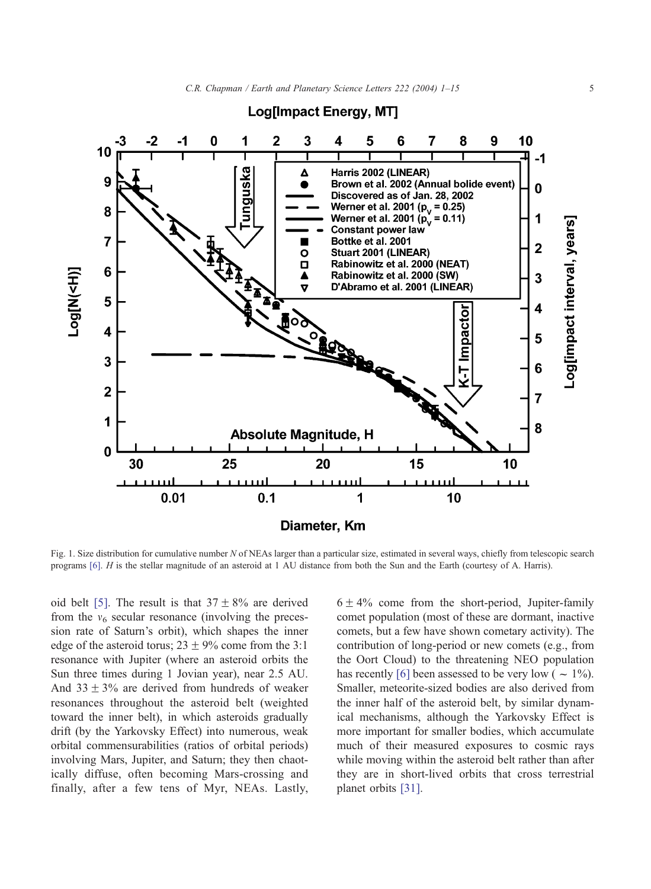<span id="page-4-0"></span>

Fig. 1. Size distribution for cumulative number N of NEAs larger than a particular size, estimated in several ways, chiefly from telescopic search programs [\[6\]](#page-12-0). H is the stellar magnitude of an asteroid at 1 AU distance from both the Sun and the Earth (courtesy of A. Harris).

oid belt [\[5\]](#page-12-0). The result is that  $37 \pm 8\%$  are derived from the  $v_6$  secular resonance (involving the precession rate of Saturn's orbit), which shapes the inner edge of the asteroid torus;  $23 \pm 9\%$  come from the 3:1 resonance with Jupiter (where an asteroid orbits the Sun three times during 1 Jovian year), near 2.5 AU. And  $33 + 3\%$  are derived from hundreds of weaker resonances throughout the asteroid belt (weighted toward the inner belt), in which asteroids gradually drift (by the Yarkovsky Effect) into numerous, weak orbital commensurabilities (ratios of orbital periods) involving Mars, Jupiter, and Saturn; they then chaotically diffuse, often becoming Mars-crossing and finally, after a few tens of Myr, NEAs. Lastly,

 $6 \pm 4\%$  come from the short-period, Jupiter-family comet population (most of these are dormant, inactive comets, but a few have shown cometary activity). The contribution of long-period or new comets (e.g., from the Oort Cloud) to the threatening NEO population has recently [\[6\]](#page-12-0) been assessed to be very low ( $\sim 1\%$ ). Smaller, meteorite-sized bodies are also derived from the inner half of the asteroid belt, by similar dynamical mechanisms, although the Yarkovsky Effect is more important for smaller bodies, which accumulate much of their measured exposures to cosmic rays while moving within the asteroid belt rather than after they are in short-lived orbits that cross terrestrial planet orbits [\[31\].](#page-13-0)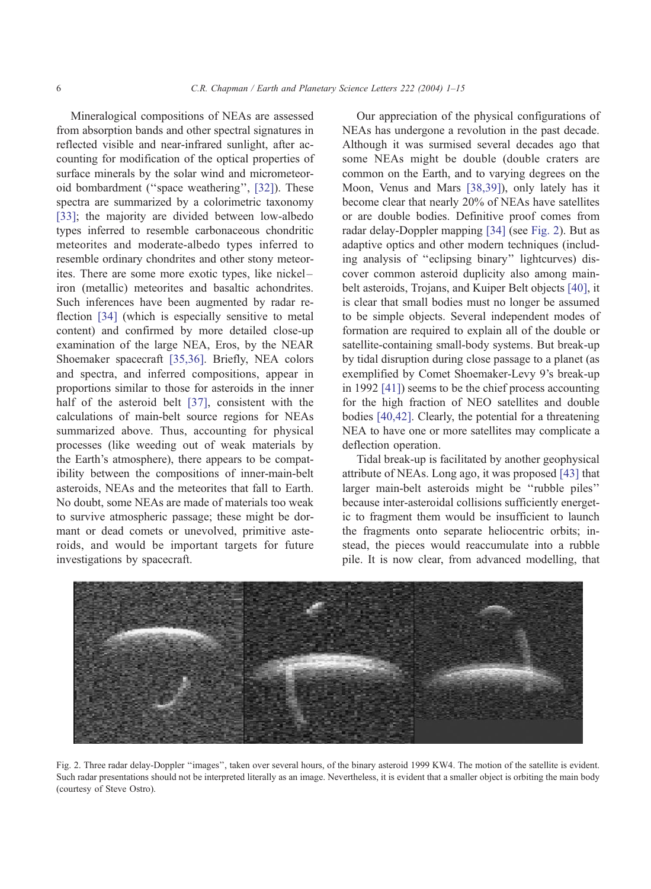Mineralogical compositions of NEAs are assessed from absorption bands and other spectral signatures in reflected visible and near-infrared sunlight, after accounting for modification of the optical properties of surface minerals by the solar wind and micrometeoroid bombardment (''space weathering'', [\[32\]\)](#page-13-0). These spectra are summarized by a colorimetric taxonomy [\[33\];](#page-13-0) the majority are divided between low-albedo types inferred to resemble carbonaceous chondritic meteorites and moderate-albedo types inferred to resemble ordinary chondrites and other stony meteorites. There are some more exotic types, like nickel – iron (metallic) meteorites and basaltic achondrites. Such inferences have been augmented by radar reflection [\[34\]](#page-13-0) (which is especially sensitive to metal content) and confirmed by more detailed close-up examination of the large NEA, Eros, by the NEAR Shoemaker spacecraft [\[35,36\].](#page-13-0) Briefly, NEA colors and spectra, and inferred compositions, appear in proportions similar to those for asteroids in the inner half of the asteroid belt [\[37\],](#page-13-0) consistent with the calculations of main-belt source regions for NEAs summarized above. Thus, accounting for physical processes (like weeding out of weak materials by the Earth's atmosphere), there appears to be compatibility between the compositions of inner-main-belt asteroids, NEAs and the meteorites that fall to Earth. No doubt, some NEAs are made of materials too weak to survive atmospheric passage; these might be dormant or dead comets or unevolved, primitive asteroids, and would be important targets for future investigations by spacecraft.

Our appreciation of the physical configurations of NEAs has undergone a revolution in the past decade. Although it was surmised several decades ago that some NEAs might be double (double craters are common on the Earth, and to varying degrees on the Moon, Venus and Mars [\[38,39\]\)](#page-13-0), only lately has it become clear that nearly 20% of NEAs have satellites or are double bodies. Definitive proof comes from radar delay-Doppler mapping [\[34\]](#page-13-0) (see Fig. 2). But as adaptive optics and other modern techniques (including analysis of ''eclipsing binary'' lightcurves) discover common asteroid duplicity also among mainbelt asteroids, Trojans, and Kuiper Belt objects [\[40\],](#page-13-0) it is clear that small bodies must no longer be assumed to be simple objects. Several independent modes of formation are required to explain all of the double or satellite-containing small-body systems. But break-up by tidal disruption during close passage to a planet (as exemplified by Comet Shoemaker-Levy 9's break-up in 1992 [\[41\]\)](#page-13-0) seems to be the chief process accounting for the high fraction of NEO satellites and double bodies [\[40,42\].](#page-13-0) Clearly, the potential for a threatening NEA to have one or more satellites may complicate a deflection operation.

Tidal break-up is facilitated by another geophysical attribute of NEAs. Long ago, it was proposed [\[43\]](#page-14-0) that larger main-belt asteroids might be ''rubble piles'' because inter-asteroidal collisions sufficiently energetic to fragment them would be insufficient to launch the fragments onto separate heliocentric orbits; instead, the pieces would reaccumulate into a rubble pile. It is now clear, from advanced modelling, that



Fig. 2. Three radar delay-Doppler ''images'', taken over several hours, of the binary asteroid 1999 KW4. The motion of the satellite is evident. Such radar presentations should not be interpreted literally as an image. Nevertheless, it is evident that a smaller object is orbiting the main body (courtesy of Steve Ostro).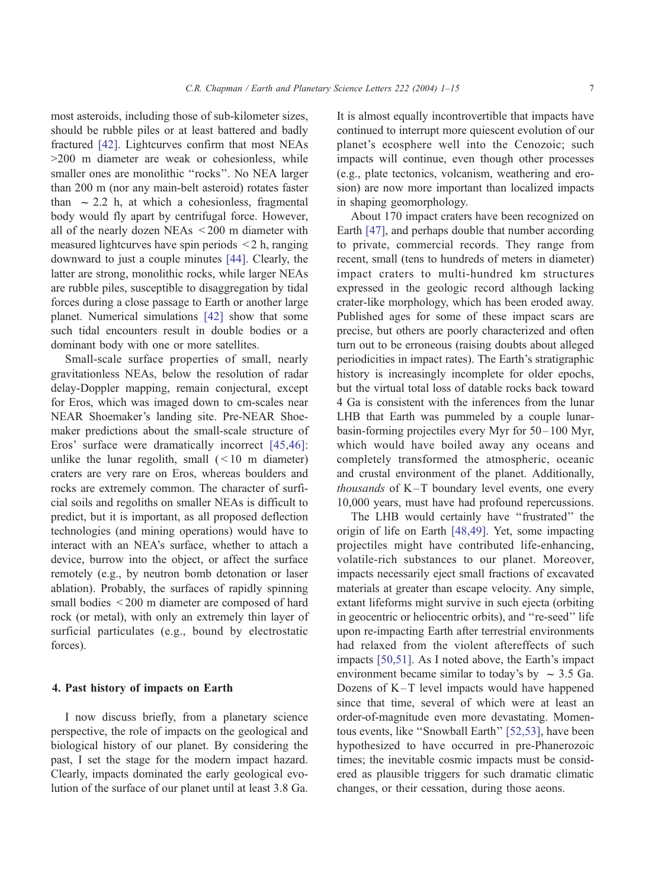most asteroids, including those of sub-kilometer sizes, should be rubble piles or at least battered and badly fractured [\[42\].](#page-13-0) Lightcurves confirm that most NEAs >200 m diameter are weak or cohesionless, while smaller ones are monolithic ''rocks''. No NEA larger than 200 m (nor any main-belt asteroid) rotates faster than  $\sim$  2.2 h, at which a cohesionless, fragmental body would fly apart by centrifugal force. However, all of the nearly dozen NEAs < 200 m diameter with measured lightcurves have spin periods < 2 h, ranging downward to just a couple minutes [\[44\].](#page-14-0) Clearly, the latter are strong, monolithic rocks, while larger NEAs are rubble piles, susceptible to disaggregation by tidal forces during a close passage to Earth or another large planet. Numerical simulations [\[42\]](#page-13-0) show that some such tidal encounters result in double bodies or a dominant body with one or more satellites.

Small-scale surface properties of small, nearly gravitationless NEAs, below the resolution of radar delay-Doppler mapping, remain conjectural, except for Eros, which was imaged down to cm-scales near NEAR Shoemaker's landing site. Pre-NEAR Shoemaker predictions about the small-scale structure of Eros' surface were dramatically incorrect [\[45,46\]:](#page-14-0) unlike the lunar regolith, small  $(< 10$  m diameter) craters are very rare on Eros, whereas boulders and rocks are extremely common. The character of surficial soils and regoliths on smaller NEAs is difficult to predict, but it is important, as all proposed deflection technologies (and mining operations) would have to interact with an NEA's surface, whether to attach a device, burrow into the object, or affect the surface remotely (e.g., by neutron bomb detonation or laser ablation). Probably, the surfaces of rapidly spinning small bodies < 200 m diameter are composed of hard rock (or metal), with only an extremely thin layer of surficial particulates (e.g., bound by electrostatic forces).

#### 4. Past history of impacts on Earth

I now discuss briefly, from a planetary science perspective, the role of impacts on the geological and biological history of our planet. By considering the past, I set the stage for the modern impact hazard. Clearly, impacts dominated the early geological evolution of the surface of our planet until at least 3.8 Ga.

It is almost equally incontrovertible that impacts have continued to interrupt more quiescent evolution of our planet's ecosphere well into the Cenozoic; such impacts will continue, even though other processes (e.g., plate tectonics, volcanism, weathering and erosion) are now more important than localized impacts in shaping geomorphology.

About 170 impact craters have been recognized on Earth [\[47\],](#page-14-0) and perhaps double that number according to private, commercial records. They range from recent, small (tens to hundreds of meters in diameter) impact craters to multi-hundred km structures expressed in the geologic record although lacking crater-like morphology, which has been eroded away. Published ages for some of these impact scars are precise, but others are poorly characterized and often turn out to be erroneous (raising doubts about alleged periodicities in impact rates). The Earth's stratigraphic history is increasingly incomplete for older epochs, but the virtual total loss of datable rocks back toward 4 Ga is consistent with the inferences from the lunar LHB that Earth was pummeled by a couple lunarbasin-forming projectiles every Myr for 50– 100 Myr, which would have boiled away any oceans and completely transformed the atmospheric, oceanic and crustal environment of the planet. Additionally, thousands of  $K-T$  boundary level events, one every 10,000 years, must have had profound repercussions.

The LHB would certainly have ''frustrated'' the origin of life on Earth [\[48,49\].](#page-14-0) Yet, some impacting projectiles might have contributed life-enhancing, volatile-rich substances to our planet. Moreover, impacts necessarily eject small fractions of excavated materials at greater than escape velocity. Any simple, extant lifeforms might survive in such ejecta (orbiting in geocentric or heliocentric orbits), and ''re-seed'' life upon re-impacting Earth after terrestrial environments had relaxed from the violent aftereffects of such impacts [\[50,51\].](#page-14-0) As I noted above, the Earth's impact environment became similar to today's by  $\sim$  3.5 Ga. Dozens of  $K-T$  level impacts would have happened since that time, several of which were at least an order-of-magnitude even more devastating. Momen-tous events, like "Snowball Earth" [\[52,53\],](#page-14-0) have been hypothesized to have occurred in pre-Phanerozoic times; the inevitable cosmic impacts must be considered as plausible triggers for such dramatic climatic changes, or their cessation, during those aeons.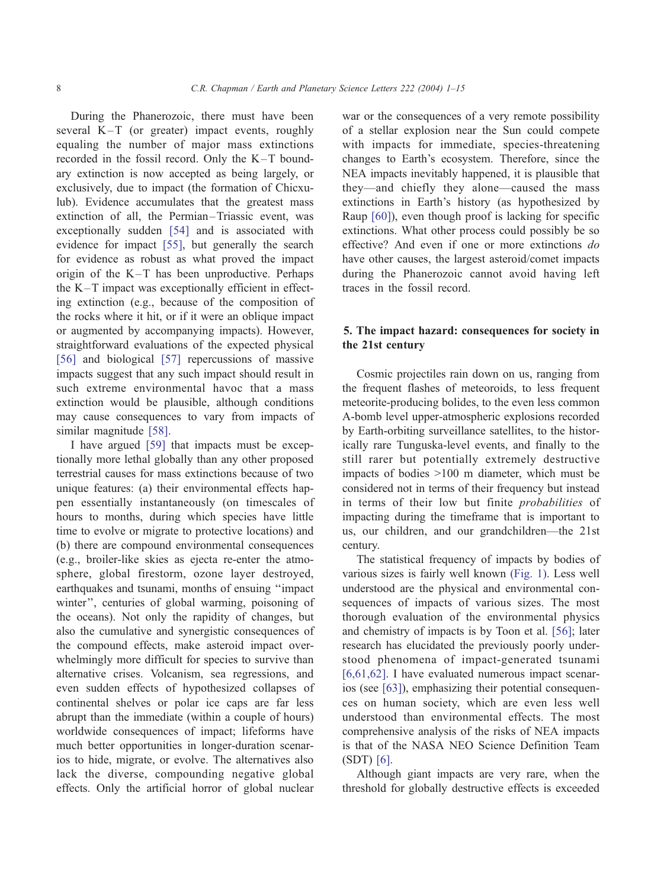During the Phanerozoic, there must have been several  $K-T$  (or greater) impact events, roughly equaling the number of major mass extinctions recorded in the fossil record. Only the  $K-T$  boundary extinction is now accepted as being largely, or exclusively, due to impact (the formation of Chicxulub). Evidence accumulates that the greatest mass extinction of all, the Permian-Triassic event, was exceptionally sudden [\[54\]](#page-14-0) and is associated with evidence for impact [\[55\],](#page-14-0) but generally the search for evidence as robust as what proved the impact origin of the  $K-T$  has been unproductive. Perhaps the  $K-T$  impact was exceptionally efficient in effecting extinction (e.g., because of the composition of the rocks where it hit, or if it were an oblique impact or augmented by accompanying impacts). However, straightforward evaluations of the expected physical [\[56\]](#page-14-0) and biological [\[57\]](#page-14-0) repercussions of massive impacts suggest that any such impact should result in such extreme environmental havoc that a mass extinction would be plausible, although conditions may cause consequences to vary from impacts of similar magnitude [\[58\].](#page-14-0)

I have argued [\[59\]](#page-14-0) that impacts must be exceptionally more lethal globally than any other proposed terrestrial causes for mass extinctions because of two unique features: (a) their environmental effects happen essentially instantaneously (on timescales of hours to months, during which species have little time to evolve or migrate to protective locations) and (b) there are compound environmental consequences (e.g., broiler-like skies as ejecta re-enter the atmosphere, global firestorm, ozone layer destroyed, earthquakes and tsunami, months of ensuing ''impact winter'', centuries of global warming, poisoning of the oceans). Not only the rapidity of changes, but also the cumulative and synergistic consequences of the compound effects, make asteroid impact overwhelmingly more difficult for species to survive than alternative crises. Volcanism, sea regressions, and even sudden effects of hypothesized collapses of continental shelves or polar ice caps are far less abrupt than the immediate (within a couple of hours) worldwide consequences of impact; lifeforms have much better opportunities in longer-duration scenarios to hide, migrate, or evolve. The alternatives also lack the diverse, compounding negative global effects. Only the artificial horror of global nuclear

war or the consequences of a very remote possibility of a stellar explosion near the Sun could compete with impacts for immediate, species-threatening changes to Earth's ecosystem. Therefore, since the NEA impacts inevitably happened, it is plausible that they—and chiefly they alone—caused the mass extinctions in Earth's history (as hypothesized by Raup [\[60\]\)](#page-14-0), even though proof is lacking for specific extinctions. What other process could possibly be so effective? And even if one or more extinctions do have other causes, the largest asteroid/comet impacts during the Phanerozoic cannot avoid having left traces in the fossil record.

## 5. The impact hazard: consequences for society in the 21st century

Cosmic projectiles rain down on us, ranging from the frequent flashes of meteoroids, to less frequent meteorite-producing bolides, to the even less common A-bomb level upper-atmospheric explosions recorded by Earth-orbiting surveillance satellites, to the historically rare Tunguska-level events, and finally to the still rarer but potentially extremely destructive impacts of bodies >100 m diameter, which must be considered not in terms of their frequency but instead in terms of their low but finite probabilities of impacting during the timeframe that is important to us, our children, and our grandchildren—the 21st century.

The statistical frequency of impacts by bodies of various sizes is fairly well known [\(Fig. 1\).](#page-4-0) Less well understood are the physical and environmental consequences of impacts of various sizes. The most thorough evaluation of the environmental physics and chemistry of impacts is by Toon et al. [\[56\];](#page-14-0) later research has elucidated the previously poorly understood phenomena of impact-generated tsunami [\[6,61,62\].](#page-12-0) I have evaluated numerous impact scenarios (see [\[63\]\)](#page-14-0), emphasizing their potential consequences on human society, which are even less well understood than environmental effects. The most comprehensive analysis of the risks of NEA impacts is that of the NASA NEO Science Definition Team (SDT) [\[6\].](#page-12-0)

Although giant impacts are very rare, when the threshold for globally destructive effects is exceeded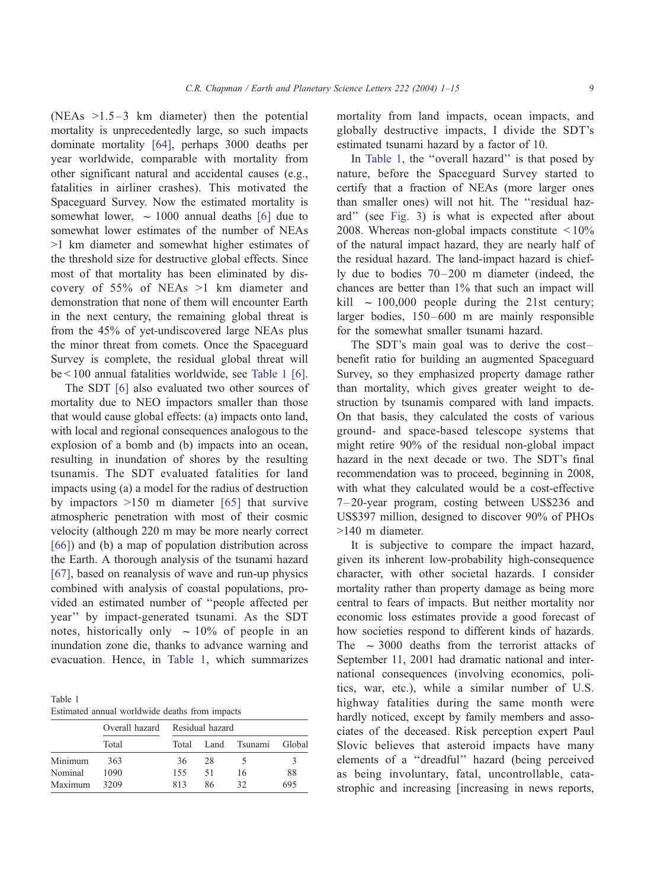(NEAs  $>1.5-3$  km diameter) then the potential mortality is unprecedentedly large, so such impacts dominate mortality [\[64\],](#page-14-0) perhaps 3000 deaths per year worldwide, comparable with mortality from other significant natural and accidental causes (e.g., fatalities in airliner crashes). This motivated the Spaceguard Survey. Now the estimated mortality is somewhat lower,  $\sim 1000$  annual deaths [\[6\]](#page-12-0) due to somewhat lower estimates of the number of NEAs >1 km diameter and somewhat higher estimates of the threshold size for destructive global effects. Since most of that mortality has been eliminated by discovery of 55% of NEAs >1 km diameter and demonstration that none of them will encounter Earth in the next century, the remaining global threat is from the 45% of yet-undiscovered large NEAs plus the minor threat from comets. Once the Spaceguard Survey is complete, the residual global threat will be < 100 annual fatalities worldwide, see Table 1 [\[6\].](#page-12-0)

The SDT [\[6\]](#page-12-0) also evaluated two other sources of mortality due to NEO impactors smaller than those that would cause global effects: (a) impacts onto land, with local and regional consequences analogous to the explosion of a bomb and (b) impacts into an ocean, resulting in inundation of shores by the resulting tsunamis. The SDT evaluated fatalities for land impacts using (a) a model for the radius of destruction by impactors >150 m diameter [\[65\]](#page-14-0) that survive atmospheric penetration with most of their cosmic velocity (although 220 m may be more nearly correct [\[66\]\)](#page-14-0) and (b) a map of population distribution across the Earth. A thorough analysis of the tsunami hazard [\[67\],](#page-14-0) based on reanalysis of wave and run-up physics combined with analysis of coastal populations, provided an estimated number of ''people affected per year'' by impact-generated tsunami. As the SDT notes, historically only  $\sim 10\%$  of people in an inundation zone die, thanks to advance warning and evacuation. Hence, in Table 1, which summarizes

Table 1 Estimated annual worldwide deaths from impacts

|         | Overall hazard<br>Total | Residual hazard |      |         |        |
|---------|-------------------------|-----------------|------|---------|--------|
|         |                         | Total           | Land | Tsunami | Global |
| Minimum | 363                     | 36              | 28   |         |        |
| Nominal | 1090                    | 155             | 51   | 16      | 88     |
| Maximum | 3209                    | 813             | 86   | 32      | 695    |

mortality from land impacts, ocean impacts, and globally destructive impacts, I divide the SDT's estimated tsunami hazard by a factor of 10.

In Table 1, the ''overall hazard'' is that posed by nature, before the Spaceguard Survey started to certify that a fraction of NEAs (more larger ones than smaller ones) will not hit. The ''residual hazard'' (see [Fig. 3\)](#page-9-0) is what is expected after about 2008. Whereas non-global impacts constitute  $\leq 10\%$ of the natural impact hazard, they are nearly half of the residual hazard. The land-impact hazard is chiefly due to bodies 70 –200 m diameter (indeed, the chances are better than 1% that such an impact will kill  $\sim 100,000$  people during the 21st century; larger bodies, 150–600 m are mainly responsible for the somewhat smaller tsunami hazard.

The SDT's main goal was to derive the costbenefit ratio for building an augmented Spaceguard Survey, so they emphasized property damage rather than mortality, which gives greater weight to destruction by tsunamis compared with land impacts. On that basis, they calculated the costs of various ground- and space-based telescope systems that might retire 90% of the residual non-global impact hazard in the next decade or two. The SDT's final recommendation was to proceed, beginning in 2008, with what they calculated would be a cost-effective 7– 20-year program, costing between US\$236 and US\$397 million, designed to discover 90% of PHOs >140 m diameter.

It is subjective to compare the impact hazard, given its inherent low-probability high-consequence character, with other societal hazards. I consider mortality rather than property damage as being more central to fears of impacts. But neither mortality nor economic loss estimates provide a good forecast of how societies respond to different kinds of hazards. The  $\sim$  3000 deaths from the terrorist attacks of September 11, 2001 had dramatic national and international consequences (involving economics, politics, war, etc.), while a similar number of U.S. highway fatalities during the same month were hardly noticed, except by family members and associates of the deceased. Risk perception expert Paul Slovic believes that asteroid impacts have many elements of a ''dreadful'' hazard (being perceived as being involuntary, fatal, uncontrollable, catastrophic and increasing [increasing in news reports,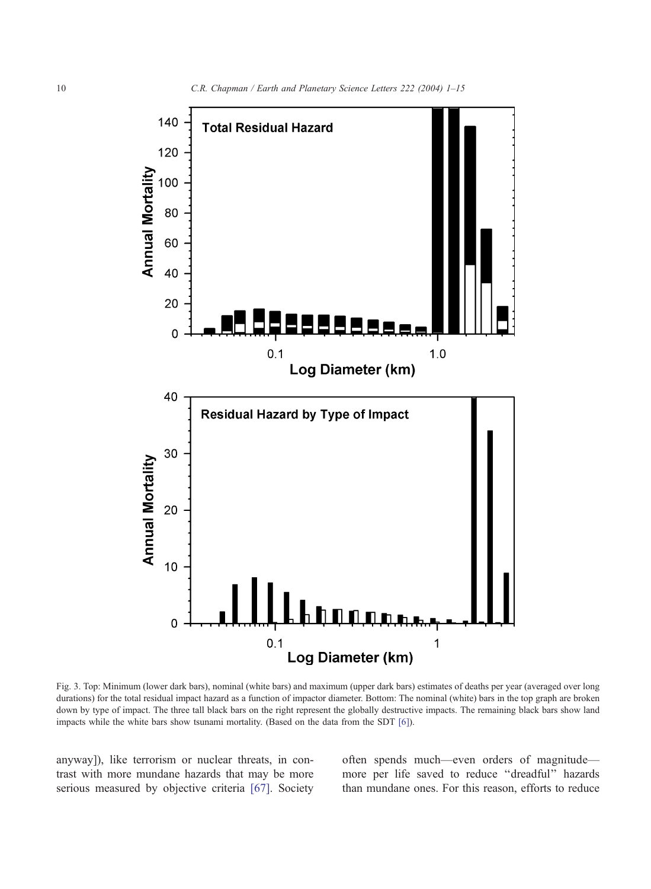<span id="page-9-0"></span>

Fig. 3. Top: Minimum (lower dark bars), nominal (white bars) and maximum (upper dark bars) estimates of deaths per year (averaged over long durations) for the total residual impact hazard as a function of impactor diameter. Bottom: The nominal (white) bars in the top graph are broken down by type of impact. The three tall black bars on the right represent the globally destructive impacts. The remaining black bars show land impacts while the white bars show tsunami mortality. (Based on the data from the SDT [\[6\]\)](#page-12-0).

anyway]), like terrorism or nuclear threats, in contrast with more mundane hazards that may be more serious measured by objective criteria [\[67\].](#page-14-0) Society often spends much—even orders of magnitude more per life saved to reduce ''dreadful'' hazards than mundane ones. For this reason, efforts to reduce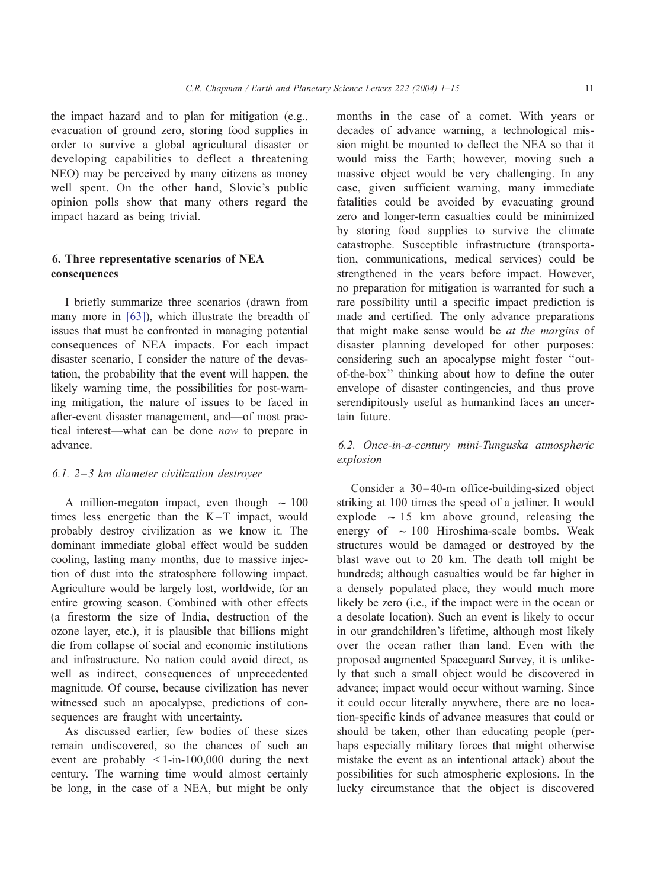the impact hazard and to plan for mitigation (e.g., evacuation of ground zero, storing food supplies in order to survive a global agricultural disaster or developing capabilities to deflect a threatening NEO) may be perceived by many citizens as money well spent. On the other hand, Slovic's public opinion polls show that many others regard the impact hazard as being trivial.

## 6. Three representative scenarios of NEA consequences

I briefly summarize three scenarios (drawn from many more in [\[63\]\)](#page-14-0), which illustrate the breadth of issues that must be confronted in managing potential consequences of NEA impacts. For each impact disaster scenario, I consider the nature of the devastation, the probability that the event will happen, the likely warning time, the possibilities for post-warning mitigation, the nature of issues to be faced in after-event disaster management, and—of most practical interest—what can be done now to prepare in advance.

#### 6.1. 2–3 km diameter civilization destroyer

A million-megaton impact, even though  $\sim 100$ times less energetic than the  $K-T$  impact, would probably destroy civilization as we know it. The dominant immediate global effect would be sudden cooling, lasting many months, due to massive injection of dust into the stratosphere following impact. Agriculture would be largely lost, worldwide, for an entire growing season. Combined with other effects (a firestorm the size of India, destruction of the ozone layer, etc.), it is plausible that billions might die from collapse of social and economic institutions and infrastructure. No nation could avoid direct, as well as indirect, consequences of unprecedented magnitude. Of course, because civilization has never witnessed such an apocalypse, predictions of consequences are fraught with uncertainty.

As discussed earlier, few bodies of these sizes remain undiscovered, so the chances of such an event are probably  $\leq 1$ -in-100,000 during the next century. The warning time would almost certainly be long, in the case of a NEA, but might be only months in the case of a comet. With years or decades of advance warning, a technological mission might be mounted to deflect the NEA so that it would miss the Earth; however, moving such a massive object would be very challenging. In any case, given sufficient warning, many immediate fatalities could be avoided by evacuating ground zero and longer-term casualties could be minimized by storing food supplies to survive the climate catastrophe. Susceptible infrastructure (transportation, communications, medical services) could be strengthened in the years before impact. However, no preparation for mitigation is warranted for such a rare possibility until a specific impact prediction is made and certified. The only advance preparations that might make sense would be at the margins of disaster planning developed for other purposes: considering such an apocalypse might foster ''outof-the-box'' thinking about how to define the outer envelope of disaster contingencies, and thus prove serendipitously useful as humankind faces an uncertain future.

# 6.2. Once-in-a-century mini-Tunguska atmospheric explosion

Consider a 30 –40-m office-building-sized object striking at 100 times the speed of a jetliner. It would explode  $\sim$  15 km above ground, releasing the energy of  $\sim 100$  Hiroshima-scale bombs. Weak structures would be damaged or destroyed by the blast wave out to 20 km. The death toll might be hundreds; although casualties would be far higher in a densely populated place, they would much more likely be zero (i.e., if the impact were in the ocean or a desolate location). Such an event is likely to occur in our grandchildren's lifetime, although most likely over the ocean rather than land. Even with the proposed augmented Spaceguard Survey, it is unlikely that such a small object would be discovered in advance; impact would occur without warning. Since it could occur literally anywhere, there are no location-specific kinds of advance measures that could or should be taken, other than educating people (perhaps especially military forces that might otherwise mistake the event as an intentional attack) about the possibilities for such atmospheric explosions. In the lucky circumstance that the object is discovered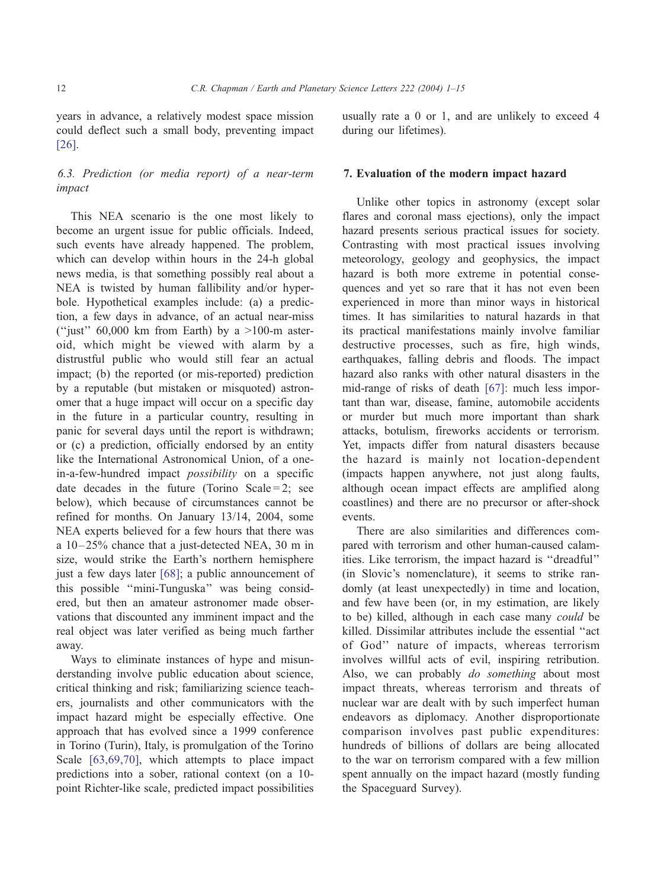years in advance, a relatively modest space mission could deflect such a small body, preventing impact [\[26\].](#page-13-0)

# 6.3. Prediction (or media report) of a near-term impact

This NEA scenario is the one most likely to become an urgent issue for public officials. Indeed, such events have already happened. The problem, which can develop within hours in the 24-h global news media, is that something possibly real about a NEA is twisted by human fallibility and/or hyperbole. Hypothetical examples include: (a) a prediction, a few days in advance, of an actual near-miss ("just"  $60,000$  km from Earth) by a  $>100$ -m asteroid, which might be viewed with alarm by a distrustful public who would still fear an actual impact; (b) the reported (or mis-reported) prediction by a reputable (but mistaken or misquoted) astronomer that a huge impact will occur on a specific day in the future in a particular country, resulting in panic for several days until the report is withdrawn; or (c) a prediction, officially endorsed by an entity like the International Astronomical Union, of a onein-a-few-hundred impact possibility on a specific date decades in the future (Torino Scale = 2; see below), which because of circumstances cannot be refined for months. On January 13/14, 2004, some NEA experts believed for a few hours that there was a  $10-25%$  chance that a just-detected NEA, 30 m in size, would strike the Earth's northern hemisphere just a few days later [\[68\];](#page-14-0) a public announcement of this possible ''mini-Tunguska'' was being considered, but then an amateur astronomer made observations that discounted any imminent impact and the real object was later verified as being much farther away.

Ways to eliminate instances of hype and misunderstanding involve public education about science, critical thinking and risk; familiarizing science teachers, journalists and other communicators with the impact hazard might be especially effective. One approach that has evolved since a 1999 conference in Torino (Turin), Italy, is promulgation of the Torino Scale [\[63,69,70\],](#page-14-0) which attempts to place impact predictions into a sober, rational context (on a 10 point Richter-like scale, predicted impact possibilities usually rate a 0 or 1, and are unlikely to exceed 4 during our lifetimes).

## 7. Evaluation of the modern impact hazard

Unlike other topics in astronomy (except solar flares and coronal mass ejections), only the impact hazard presents serious practical issues for society. Contrasting with most practical issues involving meteorology, geology and geophysics, the impact hazard is both more extreme in potential consequences and yet so rare that it has not even been experienced in more than minor ways in historical times. It has similarities to natural hazards in that its practical manifestations mainly involve familiar destructive processes, such as fire, high winds, earthquakes, falling debris and floods. The impact hazard also ranks with other natural disasters in the mid-range of risks of death [\[67\]:](#page-14-0) much less important than war, disease, famine, automobile accidents or murder but much more important than shark attacks, botulism, fireworks accidents or terrorism. Yet, impacts differ from natural disasters because the hazard is mainly not location-dependent (impacts happen anywhere, not just along faults, although ocean impact effects are amplified along coastlines) and there are no precursor or after-shock events.

There are also similarities and differences compared with terrorism and other human-caused calamities. Like terrorism, the impact hazard is ''dreadful'' (in Slovic's nomenclature), it seems to strike randomly (at least unexpectedly) in time and location, and few have been (or, in my estimation, are likely to be) killed, although in each case many could be killed. Dissimilar attributes include the essential ''act of God'' nature of impacts, whereas terrorism involves willful acts of evil, inspiring retribution. Also, we can probably do something about most impact threats, whereas terrorism and threats of nuclear war are dealt with by such imperfect human endeavors as diplomacy. Another disproportionate comparison involves past public expenditures: hundreds of billions of dollars are being allocated to the war on terrorism compared with a few million spent annually on the impact hazard (mostly funding the Spaceguard Survey).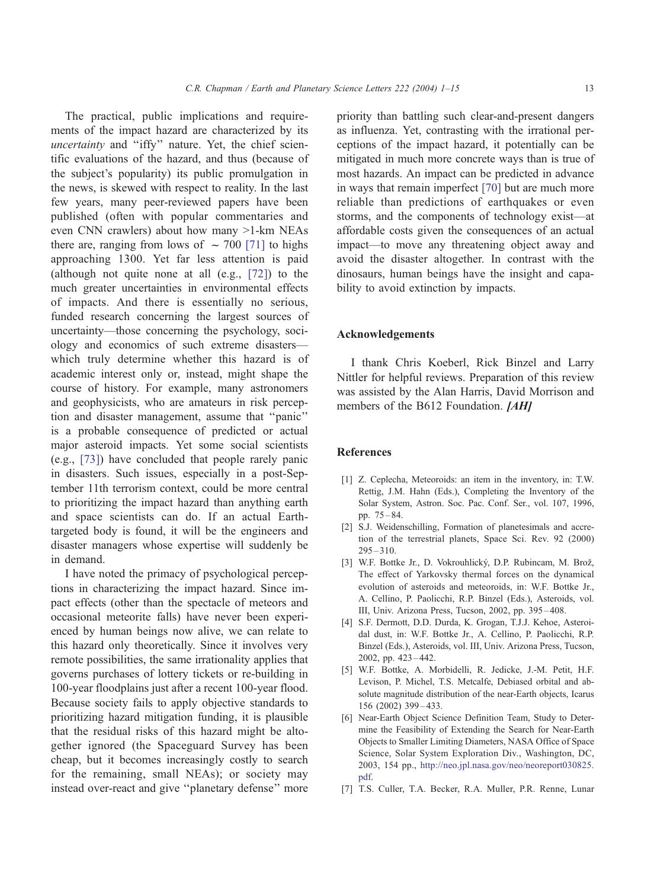<span id="page-12-0"></span>The practical, public implications and requirements of the impact hazard are characterized by its uncertainty and "iffy" nature. Yet, the chief scientific evaluations of the hazard, and thus (because of the subject's popularity) its public promulgation in the news, is skewed with respect to reality. In the last few years, many peer-reviewed papers have been published (often with popular commentaries and even CNN crawlers) about how many >1-km NEAs there are, ranging from lows of  $\sim$  700 [\[71\]](#page-14-0) to highs approaching 1300. Yet far less attention is paid (although not quite none at all (e.g., [\[72\]\)](#page-14-0) to the much greater uncertainties in environmental effects of impacts. And there is essentially no serious, funded research concerning the largest sources of uncertainty—those concerning the psychology, sociology and economics of such extreme disasters which truly determine whether this hazard is of academic interest only or, instead, might shape the course of history. For example, many astronomers and geophysicists, who are amateurs in risk perception and disaster management, assume that ''panic'' is a probable consequence of predicted or actual major asteroid impacts. Yet some social scientists (e.g., [\[73\]\)](#page-14-0) have concluded that people rarely panic in disasters. Such issues, especially in a post-September 11th terrorism context, could be more central to prioritizing the impact hazard than anything earth and space scientists can do. If an actual Earthtargeted body is found, it will be the engineers and disaster managers whose expertise will suddenly be in demand.

I have noted the primacy of psychological perceptions in characterizing the impact hazard. Since impact effects (other than the spectacle of meteors and occasional meteorite falls) have never been experienced by human beings now alive, we can relate to this hazard only theoretically. Since it involves very remote possibilities, the same irrationality applies that governs purchases of lottery tickets or re-building in 100-year floodplains just after a recent 100-year flood. Because society fails to apply objective standards to prioritizing hazard mitigation funding, it is plausible that the residual risks of this hazard might be altogether ignored (the Spaceguard Survey has been cheap, but it becomes increasingly costly to search for the remaining, small NEAs); or society may instead over-react and give ''planetary defense'' more priority than battling such clear-and-present dangers as influenza. Yet, contrasting with the irrational perceptions of the impact hazard, it potentially can be mitigated in much more concrete ways than is true of most hazards. An impact can be predicted in advance in ways that remain imperfect [\[70\]](#page-14-0) but are much more reliable than predictions of earthquakes or even storms, and the components of technology exist—at affordable costs given the consequences of an actual impact—to move any threatening object away and avoid the disaster altogether. In contrast with the dinosaurs, human beings have the insight and capability to avoid extinction by impacts.

#### Acknowledgements

I thank Chris Koeberl, Rick Binzel and Larry Nittler for helpful reviews. Preparation of this review was assisted by the Alan Harris, David Morrison and members of the B612 Foundation. [AH]

#### References

- [1] Z. Ceplecha, Meteoroids: an item in the inventory, in: T.W. Rettig, J.M. Hahn (Eds.), Completing the Inventory of the Solar System, Astron. Soc. Pac. Conf. Ser., vol. 107, 1996, pp. 75 – 84.
- [2] S.J. Weidenschilling, Formation of planetesimals and accretion of the terrestrial planets, Space Sci. Rev. 92 (2000)  $295 - 310$ .
- [3] W.F. Bottke Jr., D. Vokrouhlický, D.P. Rubincam, M. Brož, The effect of Yarkovsky thermal forces on the dynamical evolution of asteroids and meteoroids, in: W.F. Bottke Jr., A. Cellino, P. Paolicchi, R.P. Binzel (Eds.), Asteroids, vol. III, Univ. Arizona Press, Tucson, 2002, pp. 395 – 408.
- [4] S.F. Dermott, D.D. Durda, K. Grogan, T.J.J. Kehoe, Asteroidal dust, in: W.F. Bottke Jr., A. Cellino, P. Paolicchi, R.P. Binzel (Eds.), Asteroids, vol. III, Univ. Arizona Press, Tucson, 2002, pp. 423 – 442.
- [5] W.F. Bottke, A. Morbidelli, R. Jedicke, J.-M. Petit, H.F. Levison, P. Michel, T.S. Metcalfe, Debiased orbital and absolute magnitude distribution of the near-Earth objects, Icarus 156 (2002) 399 – 433.
- [6] Near-Earth Object Science Definition Team, Study to Determine the Feasibility of Extending the Search for Near-Earth Objects to Smaller Limiting Diameters, NASA Office of Space Science, Solar System Exploration Div., Washington, DC, 2003, 154 pp., [http://neo.jpl.nasa.gov/neo/neoreport030825.]( http:\\www.neo.jpl.nasa.gov\neo\neoreport030825.pdf ) pdf.
- [7] T.S. Culler, T.A. Becker, R.A. Muller, P.R. Renne, Lunar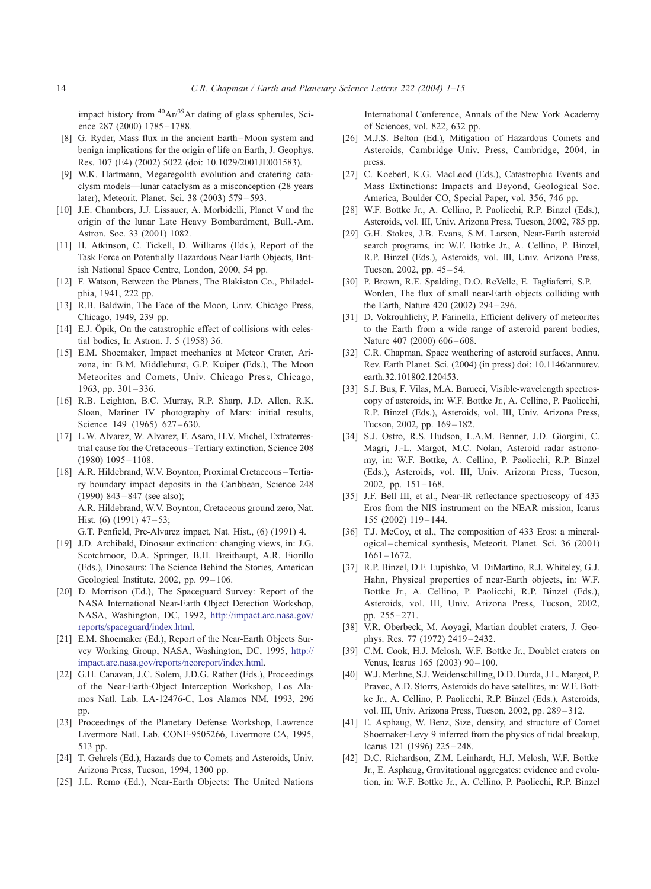impact history from  ${}^{40}Ar/{}^{39}Ar$  dating of glass spherules, Science 287 (2000) 1785-1788.

- [8] G. Ryder, Mass flux in the ancient Earth-Moon system and benign implications for the origin of life on Earth, J. Geophys. Res. 107 (E4) (2002) 5022 (doi: 10.1029/2001JE001583).
- [9] W.K. Hartmann, Megaregolith evolution and cratering cataclysm models—lunar cataclysm as a misconception (28 years later), Meteorit. Planet. Sci. 38 (2003) 579 – 593.
- [10] J.E. Chambers, J.J. Lissauer, A. Morbidelli, Planet V and the origin of the lunar Late Heavy Bombardment, Bull.-Am. Astron. Soc. 33 (2001) 1082.
- [11] H. Atkinson, C. Tickell, D. Williams (Eds.), Report of the Task Force on Potentially Hazardous Near Earth Objects, British National Space Centre, London, 2000, 54 pp.
- [12] F. Watson, Between the Planets, The Blakiston Co., Philadelphia, 1941, 222 pp.
- [13] R.B. Baldwin, The Face of the Moon, Univ. Chicago Press, Chicago, 1949, 239 pp.
- [14] E.J. Öpik, On the catastrophic effect of collisions with celestial bodies, Ir. Astron. J. 5 (1958) 36.
- [15] E.M. Shoemaker, Impact mechanics at Meteor Crater, Arizona, in: B.M. Middlehurst, G.P. Kuiper (Eds.), The Moon Meteorites and Comets, Univ. Chicago Press, Chicago, 1963, pp. 301 – 336.
- [16] R.B. Leighton, B.C. Murray, R.P. Sharp, J.D. Allen, R.K. Sloan, Mariner IV photography of Mars: initial results, Science 149 (1965) 627-630.
- [17] L.W. Alvarez, W. Alvarez, F. Asaro, H.V. Michel, Extraterrestrial cause for the Cretaceous –Tertiary extinction, Science 208  $(1980)$  1095 – 1108.
- [18] A.R. Hildebrand, W.V. Boynton, Proximal Cretaceous –Tertiary boundary impact deposits in the Caribbean, Science 248 (1990) 843 – 847 (see also); A.R. Hildebrand, W.V. Boynton, Cretaceous ground zero, Nat. Hist. (6) (1991) 47-53;

G.T. Penfield, Pre-Alvarez impact, Nat. Hist., (6) (1991) 4.

- [19] J.D. Archibald, Dinosaur extinction: changing views, in: J.G. Scotchmoor, D.A. Springer, B.H. Breithaupt, A.R. Fiorillo (Eds.), Dinosaurs: The Science Behind the Stories, American Geological Institute, 2002, pp. 99 – 106.
- [20] D. Morrison (Ed.), The Spaceguard Survey: Report of the NASA International Near-Earth Object Detection Workshop, NASA, Washington, DC, 1992, [http://impact.arc.nasa.gov/]( http:\\www.impact.arc.nasa.gov\reports\spaceguard\index.html ) reports/spaceguard/index.html.
- [21] E.M. Shoemaker (Ed.), Report of the Near-Earth Objects Survey Working Group, NASA, Washington, DC, 1995, [http://]( http:\\impact.arc.nasa.gov\reports\neoreport\index.html ) impact.arc.nasa.gov/reports/neoreport/index.html.
- [22] G.H. Canavan, J.C. Solem, J.D.G. Rather (Eds.), Proceedings of the Near-Earth-Object Interception Workshop, Los Alamos Natl. Lab. LA-12476-C, Los Alamos NM, 1993, 296 pp.
- [23] Proceedings of the Planetary Defense Workshop, Lawrence Livermore Natl. Lab. CONF-9505266, Livermore CA, 1995, 513 pp.
- [24] T. Gehrels (Ed.), Hazards due to Comets and Asteroids, Univ. Arizona Press, Tucson, 1994, 1300 pp.
- [25] J.L. Remo (Ed.), Near-Earth Objects: The United Nations

International Conference, Annals of the New York Academy of Sciences, vol. 822, 632 pp.

- [26] M.J.S. Belton (Ed.), Mitigation of Hazardous Comets and Asteroids, Cambridge Univ. Press, Cambridge, 2004, in press.
- [27] C. Koeberl, K.G. MacLeod (Eds.), Catastrophic Events and Mass Extinctions: Impacts and Beyond, Geological Soc. America, Boulder CO, Special Paper, vol. 356, 746 pp.
- [28] W.F. Bottke Jr., A. Cellino, P. Paolicchi, R.P. Binzel (Eds.), Asteroids, vol. III, Univ. Arizona Press, Tucson, 2002, 785 pp.
- [29] G.H. Stokes, J.B. Evans, S.M. Larson, Near-Earth asteroid search programs, in: W.F. Bottke Jr., A. Cellino, P. Binzel, R.P. Binzel (Eds.), Asteroids, vol. III, Univ. Arizona Press, Tucson, 2002, pp. 45-54.
- [30] P. Brown, R.E. Spalding, D.O. ReVelle, E. Tagliaferri, S.P. Worden, The flux of small near-Earth objects colliding with the Earth, Nature 420 (2002) 294 – 296.
- [31] D. Vokrouhlichý, P. Farinella, Efficient delivery of meteorites to the Earth from a wide range of asteroid parent bodies, Nature 407 (2000) 606-608.
- [32] C.R. Chapman, Space weathering of asteroid surfaces, Annu. Rev. Earth Planet. Sci. (2004) (in press) doi: 10.1146/annurev. earth.32.101802.120453.
- [33] S.J. Bus, F. Vilas, M.A. Barucci, Visible-wavelength spectroscopy of asteroids, in: W.F. Bottke Jr., A. Cellino, P. Paolicchi, R.P. Binzel (Eds.), Asteroids, vol. III, Univ. Arizona Press, Tucson, 2002, pp. 169–182.
- [34] S.J. Ostro, R.S. Hudson, L.A.M. Benner, J.D. Giorgini, C. Magri, J.-L. Margot, M.C. Nolan, Asteroid radar astronomy, in: W.F. Bottke, A. Cellino, P. Paolicchi, R.P. Binzel (Eds.), Asteroids, vol. III, Univ. Arizona Press, Tucson, 2002, pp. 151-168.
- [35] J.F. Bell III, et al., Near-IR reflectance spectroscopy of 433 Eros from the NIS instrument on the NEAR mission, Icarus 155 (2002) 119 – 144.
- [36] T.J. McCoy, et al., The composition of 433 Eros: a mineralogical – chemical synthesis, Meteorit. Planet. Sci. 36 (2001)  $1661 - 1672.$
- [37] R.P. Binzel, D.F. Lupishko, M. DiMartino, R.J. Whiteley, G.J. Hahn, Physical properties of near-Earth objects, in: W.F. Bottke Jr., A. Cellino, P. Paolicchi, R.P. Binzel (Eds.), Asteroids, vol. III, Univ. Arizona Press, Tucson, 2002, pp. 255 – 271.
- [38] V.R. Oberbeck, M. Aoyagi, Martian doublet craters, J. Geophys. Res. 77 (1972) 2419 – 2432.
- [39] C.M. Cook, H.J. Melosh, W.F. Bottke Jr., Doublet craters on Venus, Icarus 165 (2003) 90-100.
- [40] W.J. Merline, S.J. Weidenschilling, D.D. Durda, J.L. Margot, P. Pravec, A.D. Storrs, Asteroids do have satellites, in: W.F. Bottke Jr., A. Cellino, P. Paolicchi, R.P. Binzel (Eds.), Asteroids, vol. III, Univ. Arizona Press, Tucson, 2002, pp. 289 – 312.
- [41] E. Asphaug, W. Benz, Size, density, and structure of Comet Shoemaker-Levy 9 inferred from the physics of tidal breakup, Icarus 121 (1996) 225 – 248.
- [42] D.C. Richardson, Z.M. Leinhardt, H.J. Melosh, W.F. Bottke Jr., E. Asphaug, Gravitational aggregates: evidence and evolution, in: W.F. Bottke Jr., A. Cellino, P. Paolicchi, R.P. Binzel

<span id="page-13-0"></span>